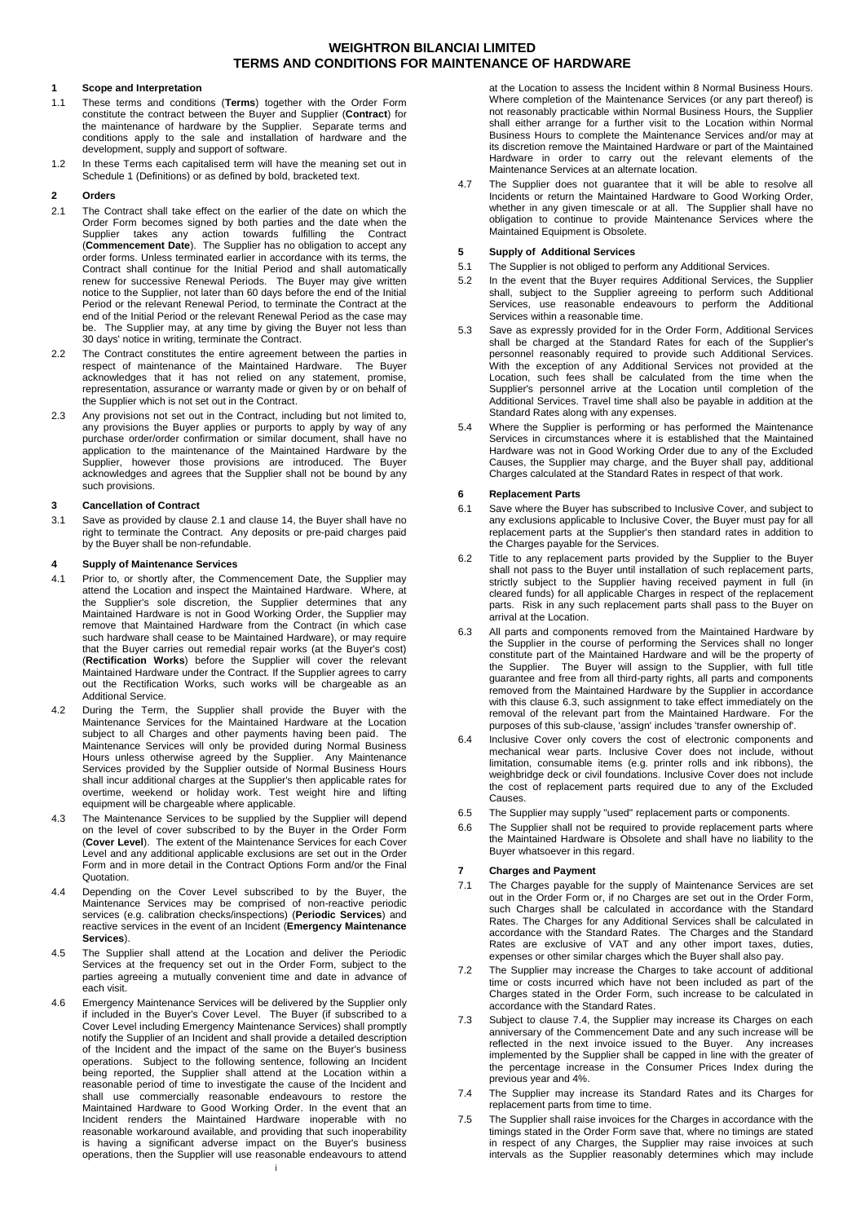## **1 Scope and Interpretation**

- 1.1 These terms and conditions (**Terms**) together with the Order Form constitute the contract between the Buyer and Supplier (**Contract**) for the maintenance of hardware by the Supplier. Separate terms and conditions apply to the sale and installation of hardware and the development, supply and support of software.
- 1.2 In these Terms each capitalised term will have the meaning set out in Schedule 1 (Definitions) or as defined by bold, bracketed text.

## **2 Orders**

- <span id="page-0-0"></span>2.1 The Contract shall take effect on the earlier of the date on which the Order Form becomes signed by both parties and the date when the Supplier takes any action towards fulfilling the Contract (**Commencement Date**). The Supplier has no obligation to accept any order forms. Unless terminated earlier in accordance with its terms, the Contract shall continue for the Initial Period and shall automatically renew for successive Renewal Periods. The Buyer may give writter notice to the Supplier, not later than 60 days before the end of the Initial Period or the relevant Renewal Period, to terminate the Contract at the end of the Initial Period or the relevant Renewal Period as the case may be. The Supplier may, at any time by giving the Buyer not less than 30 days' notice in writing, terminate the Contract.
- 2.2 The Contract constitutes the entire agreement between the parties in respect of maintenance of the Maintained Hardware. The Buyer acknowledges that it has not relied on any statement, promise, representation, assurance or warranty made or given by or on behalf of the Supplier which is not set out in the Contract.
- 2.3 Any provisions not set out in the Contract, including but not limited to, any provisions the Buyer applies or purports to apply by way of any purchase order/order confirmation or similar document, shall have no application to the maintenance of the Maintained Hardware by the Supplier, however those provisions are introduced. The Buyer acknowledges and agrees that the Supplier shall not be bound by any such provisions.

## **3 Cancellation of Contract**

3.1 Save as provided by clause [2.1](#page-0-0) and clause [14,](#page-2-0) the Buyer shall have no right to terminate the Contract. Any deposits or pre-paid charges paid by the Buyer shall be non-refundable.

## **4 Supply of Maintenance Services**

- 4.1 Prior to, or shortly after, the Commencement Date, the Supplier may attend the Location and inspect the Maintained Hardware. Where, at the Supplier's sole discretion, the Supplier determines that any Maintained Hardware is not in Good Working Order, the Supplier may remove that Maintained Hardware from the Contract (in which case such hardware shall cease to be Maintained Hardware), or may require that the Buyer carries out remedial repair works (at the Buyer's cost) (**Rectification Works**) before the Supplier will cover the relevant Maintained Hardware under the Contract. If the Supplier agrees to carry out the Rectification Works, such works will be chargeable as an Additional Service.
- 4.2 During the Term, the Supplier shall provide the Buyer with the Maintenance Services for the Maintained Hardware at the Location subject to all Charges and other payments having been paid. Maintenance Services will only be provided during Normal Business Hours unless otherwise agreed by the Supplier. Any Maintenance Services provided by the Supplier outside of Normal Business Hours shall incur additional charges at the Supplier's then applicable rates for overtime, weekend or holiday work. Test weight hire and lifting equipment will be chargeable where applicable.
- <span id="page-0-3"></span>4.3 The Maintenance Services to be supplied by the Supplier will depend on the level of cover subscribed to by the Buyer in the Order Form (**Cover Level**). The extent of the Maintenance Services for each Cover Level and any additional applicable exclusions are set out in the Order Form and in more detail in the Contract Options Form and/or the Final Quotation.
- <span id="page-0-4"></span>4.4 Depending on the Cover Level subscribed to by the Buyer, the Maintenance Services may be comprised of non-reactive periodic services (e.g. calibration checks/inspections) (**Periodic Services**) and reactive services in the event of an Incident (**Emergency Maintenance Services**).
- 4.5 The Supplier shall attend at the Location and deliver the Periodic Services at the frequency set out in the Order Form, subject to the parties agreeing a mutually convenient time and date in advance of each visit.
- i 4.6 Emergency Maintenance Services will be delivered by the Supplier only if included in the Buyer's Cover Level. The Buyer (if subscribed to a Cover Level including Emergency Maintenance Services) shall promptly notify the Supplier of an Incident and shall provide a detailed description of the Incident and the impact of the same on the Buyer's business operations. Subject to the following sentence, following an Incident being reported, the Supplier shall attend at the Location within a reasonable period of time to investigate the cause of the Incident and shall use commercially reasonable endeavours to restore the Maintained Hardware to Good Working Order. In the event that an Incident renders the Maintained Hardware inoperable with no reasonable workaround available, and providing that such inoperability is having a significant adverse impact on the Buyer's business operations, then the Supplier will use reasonable endeavours to attend

at the Location to assess the Incident within 8 Normal Business Hours. Where completion of the Maintenance Services (or any part thereof) is not reasonably practicable within Normal Business Hours, the Supplier shall either arrange for a further visit to the Location within Normal Business Hours to complete the Maintenance Services and/or may at its discretion remove the Maintained Hardware or part of the Maintained Hardware in order to carry out the relevant elements of the Maintenance Services at an alternate location.

4.7 The Supplier does not guarantee that it will be able to resolve all Incidents or return the Maintained Hardware to Good Working Order, whether in any given timescale or at all. The Supplier shall have no obligation to continue to provide Maintenance Services where the Maintained Equipment is Obsolete.

## **5 Supply of Additional Services**

- 5.1 The Supplier is not obliged to perform any Additional Services.
- 5.2 In the event that the Buyer requires Additional Services, the Supplier shall, subject to the Supplier agreeing to perform such Additional Services, use reasonable endeavours to perform the Additional Services within a reasonable time.
- 5.3 Save as expressly provided for in the Order Form, Additional Services shall be charged at the Standard Rates for each of the Supplier's personnel reasonably required to provide such Additional Services. With the exception of any Additional Services not provided at the Location, such fees shall be calculated from the time when the Supplier's personnel arrive at the Location until completion of the Additional Services. Travel time shall also be payable in addition at the Standard Rates along with any expenses.
- 5.4 Where the Supplier is performing or has performed the Maintenance Services in circumstances where it is established that the Maintained Hardware was not in Good Working Order due to any of the Excluded Causes, the Supplier may charge, and the Buyer shall pay, additional Charges calculated at the Standard Rates in respect of that work.

## **6 Replacement Parts**

- 6.1 Save where the Buyer has subscribed to Inclusive Cover, and subject to any exclusions applicable to Inclusive Cover, the Buyer must pay for all replacement parts at the Supplier's then standard rates in addition to the Charges payable for the Services.
- 6.2 Title to any replacement parts provided by the Supplier to the Buyer shall not pass to the Buyer until installation of such replacement parts, strictly subject to the Supplier having received payment in full (in cleared funds) for all applicable Charges in respect of the replacement parts. Risk in any such replacement parts shall pass to the Buyer on arrival at the Location.
- <span id="page-0-1"></span>6.3 All parts and components removed from the Maintained Hardware by the Supplier in the course of performing the Services shall no longer constitute part of the Maintained Hardware and will be the property of the Supplier. The Buyer will assign to the Supplier, with full title guarantee and free from all third-party rights, all parts and components removed from the Maintained Hardware by the Supplier in accordance with this clause [6.3,](#page-0-1) such assignment to take effect immediately on the removal of the relevant part from the Maintained Hardware. For the purposes of this sub-clause, 'assign' includes 'transfer ownership of'.
- 6.4 Inclusive Cover only covers the cost of electronic components and mechanical wear parts. Inclusive Cover does not include, without limitation, consumable items (e.g. printer rolls and ink ribbons), the weighbridge deck or civil foundations. Inclusive Cover does not include the cost of replacement parts required due to any of the Excluded Causes.
- 6.5 The Supplier may supply "used" replacement parts or components.
- 6.6 The Supplier shall not be required to provide replacement parts where the Maintained Hardware is Obsolete and shall have no liability to the Buyer whatsoever in this regard.

## **7 Charges and Payment**

- 7.1 The Charges payable for the supply of Maintenance Services are set out in the Order Form or, if no Charges are set out in the Order Form, such Charges shall be calculated in accordance with the Standard Rates. The Charges for any Additional Services shall be calculated in accordance with the Standard Rates. The Charges and the Standard Rates are exclusive of VAT and any other import taxes, duties, expenses or other similar charges which the Buyer shall also pay.
- 7.2 The Supplier may increase the Charges to take account of additional time or costs incurred which have not been included as part of the Charges stated in the Order Form, such increase to be calculated in accordance with the Standard Rates.
- 7.3 Subject to clause [7.4,](#page-0-2) the Supplier may increase its Charges on each anniversary of the Commencement Date and any such increase will be reflected in the next invoice issued to the Buyer. Any increases implemented by the Supplier shall be capped in line with the greater of the percentage increase in the Consumer Prices Index during the previous year and 4%.
- <span id="page-0-2"></span>7.4 The Supplier may increase its Standard Rates and its Charges for replacement parts from time to time.
- 7.5 The Supplier shall raise invoices for the Charges in accordance with the timings stated in the Order Form save that, where no timings are stated in respect of any Charges, the Supplier may raise invoices at such intervals as the Supplier reasonably determines which may include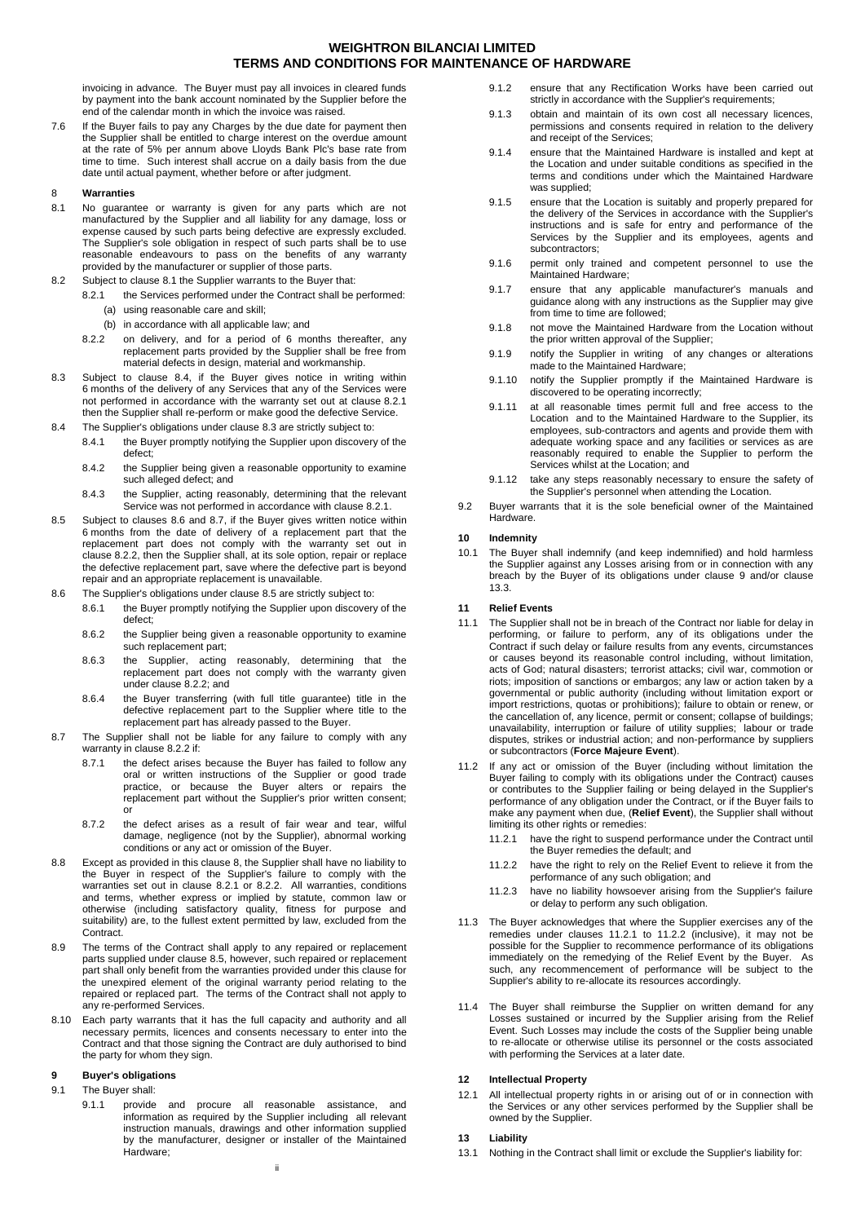invoicing in advance. The Buyer must pay all invoices in cleared funds by payment into the bank account nominated by the Supplier before the end of the calendar month in which the invoice was raised.

7.6 If the Buyer fails to pay any Charges by the due date for payment then the Supplier shall be entitled to charge interest on the overdue amount at the rate of 5% per annum above Lloyds Bank Plc's base rate from time to time. Such interest shall accrue on a daily basis from the due date until actual payment, whether before or after judgment.

#### <span id="page-1-8"></span>8 **Warranties**

- <span id="page-1-0"></span>8.1 No guarantee or warranty is given for any parts which are not manufactured by the Supplier and all liability for any damage, loss or expense caused by such parts being defective are expressly excluded. The Supplier's sole obligation in respect of such parts shall be to use reasonable endeavours to pass on the benefits of any warranty provided by the manufacturer or supplier of those parts.
- 8.2 Subject to clause [8.1](#page-1-0) the Supplier warrants to the Buyer that:
- <span id="page-1-2"></span>8.2.1 the Services performed under the Contract shall be performed: (a) using reasonable care and skill;
	- (b) in accordance with all applicable law; and
	- 8.2.2 on delivery, and for a period of 6 months thereafter, any replacement parts provided by the Supplier shall be free from material defects in design, material and workmanship.
- <span id="page-1-6"></span><span id="page-1-3"></span>8.3 Subject to clause [8.4,](#page-1-1) if the Buyer gives notice in writing within 6 months of the delivery of any Services that any of the Services were not performed in accordance with the warranty set out at clause [8.2.1](#page-1-2) then the Supplier shall re-perform or make good the defective Service.
- <span id="page-1-1"></span>8.4 The Supplier's obligations under claus[e 8.3](#page-1-3) are strictly subject to:
	- 8.4.1 the Buyer promptly notifying the Supplier upon discovery of the defect;
	- 8.4.2 the Supplier being given a reasonable opportunity to examine such alleged defect; and
	- 8.4.3 the Supplier, acting reasonably, determining that the relevant Service was not performed in accordance with clause [8.2.1.](#page-1-2)
- <span id="page-1-7"></span>8.5 Subject to clauses [8.6](#page-1-4) and [8.7,](#page-1-5) if the Buyer gives written notice within 6 months from the date of delivery of a replacement part that the replacement part does not comply with the warranty set out in clause [8.2.2,](#page-1-6) then the Supplier shall, at its sole option, repair or replace the defective replacement part, save where the defective part is beyond repair and an appropriate replacement is unavailable.
- <span id="page-1-4"></span>8.6 The Supplier's obligations under claus[e 8.5](#page-1-7) are strictly subject to:
	- 8.6.1 the Buyer promptly notifying the Supplier upon discovery of the defect;
	- 8.6.2 the Supplier being given a reasonable opportunity to examine such replacement part;
	- 8.6.3 the Supplier, acting reasonably, determining that the replacement part does not comply with the warranty given under clause [8.2.2;](#page-1-6) and
	- 8.6.4 the Buyer transferring (with full title guarantee) title in the defective replacement part to the Supplier where title to the replacement part has already passed to the Buyer.
- <span id="page-1-5"></span>8.7 The Supplier shall not be liable for any failure to comply with any warranty in claus[e 8.2.2](#page-1-6) if:
	- 8.7.1 the defect arises because the Buyer has failed to follow any oral or written instructions of the Supplier or good trade practice, or because the Buyer alters or repairs the replacement part without the Supplier's prior written consent; or
	- 8.7.2 the defect arises as a result of fair wear and tear, wilful damage, negligence (not by the Supplier), abnormal working conditions or any act or omission of the Buyer.
- 8.8 Except as provided in this clause [8,](#page-1-8) the Supplier shall have no liability to the Buyer in respect of the Supplier's failure to comply with the warranties set out in clause [8.2.1](#page-1-2) or [8.2.2.](#page-1-6) All warranties, conditions and terms, whether express or implied by statute, common law or otherwise (including satisfactory quality, fitness for purpose and suitability) are, to the fullest extent permitted by law, excluded from the Contract.
- 8.9 The terms of the Contract shall apply to any repaired or replacement parts supplied under clause [8.5,](#page-1-7) however, such repaired or replacement part shall only benefit from the warranties provided under this clause for the unexpired element of the original warranty period relating to the repaired or replaced part. The terms of the Contract shall not apply to any re-performed Services.
- 8.10 Each party warrants that it has the full capacity and authority and all necessary permits, licences and consents necessary to enter into the Contract and that those signing the Contract are duly authorised to bind the party for whom they sign.

## <span id="page-1-9"></span>**9 Buyer's obligations**

#### 9.1 The Buyer shall:

9.1.1 provide and procure all reasonable assistance, and information as required by the Supplier including all relevant instruction manuals, drawings and other information supplied by the manufacturer, designer or installer of the Maintained Hardware;

- 9.1.2 ensure that any Rectification Works have been carried out strictly in accordance with the Supplier's requirements;
- 9.1.3 obtain and maintain of its own cost all necessary licences, permissions and consents required in relation to the delivery and receipt of the Services;
- 9.1.4 ensure that the Maintained Hardware is installed and kept at the Location and under suitable conditions as specified in the terms and conditions under which the Maintained Hardware was supplied;
- 9.1.5 ensure that the Location is suitably and properly prepared for the delivery of the Services in accordance with the Supplier's instructions and is safe for entry and performance of the Services by the Supplier and its employees, agents and subcontractors;
- 9.1.6 permit only trained and competent personnel to use the Maintained Hardware;
- 9.1.7 ensure that any applicable manufacturer's manuals and guidance along with any instructions as the Supplier may give from time to time are followed;
- 9.1.8 not move the Maintained Hardware from the Location without the prior written approval of the Supplier;
- 9.1.9 notify the Supplier in writing of any changes or alterations made to the Maintained Hardware;
- 9.1.10 notify the Supplier promptly if the Maintained Hardware is discovered to be operating incorrectly;
- 9.1.11 at all reasonable times permit full and free access to the Location and to the Maintained Hardware to the Supplier, its employees, sub-contractors and agents and provide them with adequate working space and any facilities or services as are reasonably required to enable the Supplier to perform the Services whilst at the Location; and
- 9.1.12 take any steps reasonably necessary to ensure the safety of the Supplier's personnel when attending the Location.
- 9.2 Buyer warrants that it is the sole beneficial owner of the Maintained Hardware.

#### **10 Indemnity**

10.1 The Buyer shall indemnify (and keep indemnified) and hold harmless the Supplier against any Losses arising from or in connection with any breach by the Buyer of its obligations under clause [9](#page-1-9) and/or clause [13.3.](#page-2-1)

#### **11 Relief Events**

- 11.1 The Supplier shall not be in breach of the Contract nor liable for delay in performing, or failure to perform, any of its obligations under the Contract if such delay or failure results from any events, circumstances or causes beyond its reasonable control including, without limitation, acts of God; natural disasters; terrorist attacks; civil war, commotion or riots; imposition of sanctions or embargos; any law or action taken by a governmental or public authority (including without limitation export or import restrictions, quotas or prohibitions); failure to obtain or renew, or the cancellation of, any licence, permit or consent; collapse of buildings; unavailability, interruption or failure of utility supplies; labour or trade disputes, strikes or industrial action; and non-performance by suppliers or subcontractors (**Force Majeure Event**).
- <span id="page-1-10"></span>11.2 If any act or omission of the Buyer (including without limitation the Buyer failing to comply with its obligations under the Contract) causes or contributes to the Supplier failing or being delayed in the Supplier's performance of any obligation under the Contract, or if the Buyer fails to make any payment when due, (**Relief Event**), the Supplier shall without limiting its other rights or remedies:
	- 11.2.1 have the right to suspend performance under the Contract until the Buyer remedies the default; and
	- 11.2.2 have the right to rely on the Relief Event to relieve it from the performance of any such obligation; and
	- 11.2.3 have no liability howsoever arising from the Supplier's failure or delay to perform any such obligation.
- <span id="page-1-11"></span>11.3 The Buyer acknowledges that where the Supplier exercises any of the remedies under clauses [11.2.1](#page-1-10) to [11.2.2](#page-1-11) (inclusive), it may not be possible for the Supplier to recommence performance of its obligations immediately on the remedying of the Relief Event by the Buyer. As such, any recommencement of performance will be subject to the Supplier's ability to re-allocate its resources accordingly.
- 11.4 The Buyer shall reimburse the Supplier on written demand for any Losses sustained or incurred by the Supplier arising from the Relief Event. Such Losses may include the costs of the Supplier being unable to re-allocate or otherwise utilise its personnel or the costs associated with performing the Services at a later date.

#### **12 Intellectual Property**

12.1 All intellectual property rights in or arising out of or in connection with the Services or any other services performed by the Supplier shall be owned by the Supplier.

## **13 Liability**

<span id="page-1-12"></span>13.1 Nothing in the Contract shall limit or exclude the Supplier's liability for: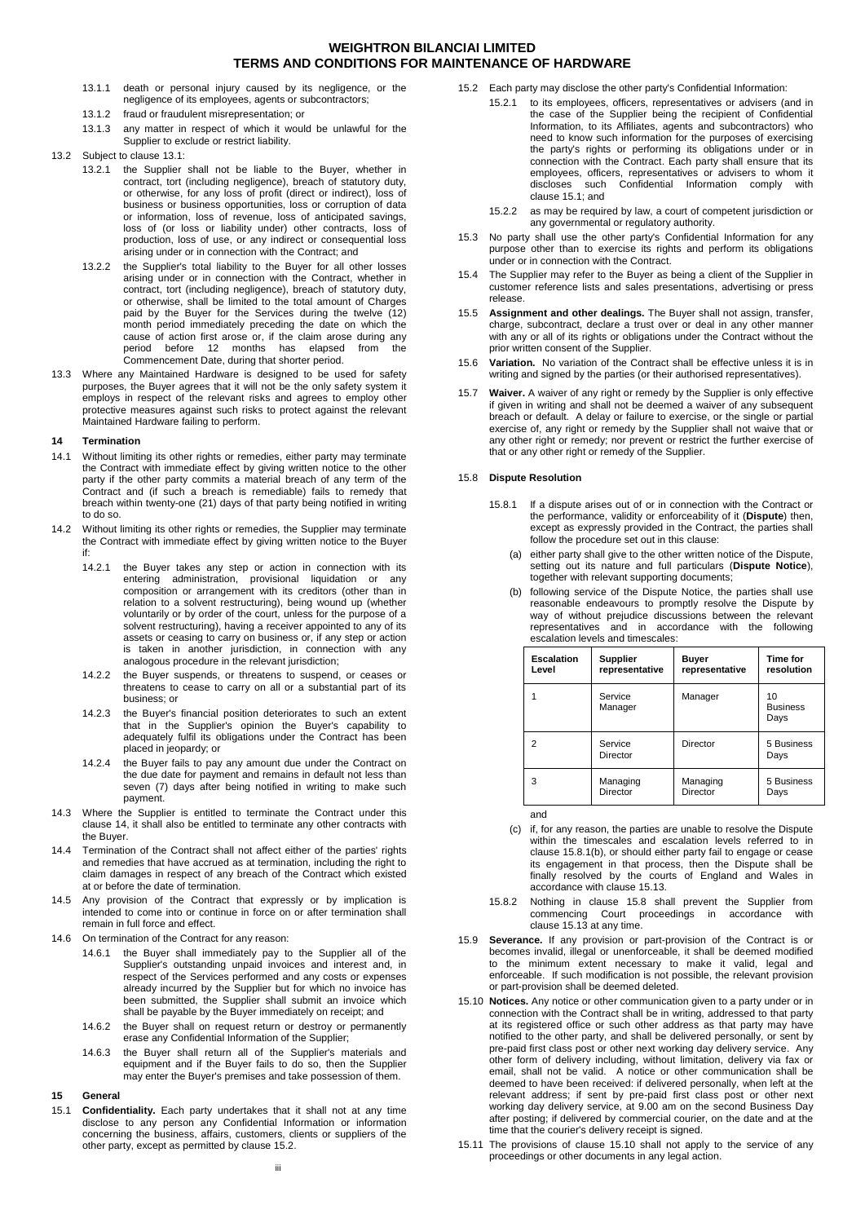- 13.1.1 death or personal injury caused by its negligence, or the negligence of its employees, agents or subcontractors;
- 13.1.2 fraud or fraudulent misrepresentation; or
- 13.1.3 any matter in respect of which it would be unlawful for the Supplier to exclude or restrict liability.
- 13.2 Subject to clause [13.1:](#page-1-12)
	- 13.2.1 the Supplier shall not be liable to the Buyer, whether in contract, tort (including negligence), breach of statutory duty, or otherwise, for any loss of profit (direct or indirect), loss of business or business opportunities, loss or corruption of data or information, loss of revenue, loss of anticipated savings, loss of (or loss or liability under) other contracts, loss of production, loss of use, or any indirect or consequential loss arising under or in connection with the Contract; and
	- 13.2.2 the Supplier's total liability to the Buyer for all other losses arising under or in connection with the Contract, whether in contract, tort (including negligence), breach of statutory duty, or otherwise, shall be limited to the total amount of Charges paid by the Buyer for the Services during the twelve (12) month period immediately preceding the date on which the cause of action first arose or, if the claim arose during any period before 12 months has elapsed from the Commencement Date, during that shorter period.
- <span id="page-2-1"></span>13.3 Where any Maintained Hardware is designed to be used for safety purposes, the Buyer agrees that it will not be the only safety system it employs in respect of the relevant risks and agrees to employ other protective measures against such risks to protect against the relevant .<br>Maintained Hardware failing to perform.

## <span id="page-2-2"></span><span id="page-2-0"></span>**14 Termination**

- 14.1 Without limiting its other rights or remedies, either party may terminate the Contract with immediate effect by giving written notice to the other party if the other party commits a material breach of any term of the Contract and (if such a breach is remediable) fails to remedy that breach within twenty-one (21) days of that party being notified in writing to do so.
- 14.2 Without limiting its other rights or remedies, the Supplier may terminate the Contract with immediate effect by giving written notice to the Buyer if:
	- 14.2.1 the Buyer takes any step or action in connection with its entering administration, provisional liquidation or any composition or arrangement with its creditors (other than in relation to a solvent restructuring), being wound up (whether voluntarily or by order of the court, unless for the purpose of a solvent restructuring), having a receiver appointed to any of its assets or ceasing to carry on business or, if any step or action is taken in another jurisdiction, in connection with any analogous procedure in the relevant jurisdiction;
	- 14.2.2 the Buyer suspends, or threatens to suspend, or ceases or threatens to cease to carry on all or a substantial part of its business; or
	- 14.2.3 the Buyer's financial position deteriorates to such an extent that in the Supplier's opinion the Buyer's capability to adequately fulfil its obligations under the Contract has been placed in jeopardy; or
	- 14.2.4 the Buyer fails to pay any amount due under the Contract on the due date for payment and remains in default not less than seven (7) days after being notified in writing to make such payment.
- 14.3 Where the Supplier is entitled to terminate the Contract under this clause [14,](#page-2-2) it shall also be entitled to terminate any other contracts with the Buyer.
- 14.4 Termination of the Contract shall not affect either of the parties' rights and remedies that have accrued as at termination, including the right to claim damages in respect of any breach of the Contract which existed at or before the date of termination.
- 14.5 Any provision of the Contract that expressly or by implication is intended to come into or continue in force on or after termination shall remain in full force and effect.
- 14.6 On termination of the Contract for any reason:
	- 14.6.1 the Buyer shall immediately pay to the Supplier all of the Supplier's outstanding unpaid invoices and interest and, in respect of the Services performed and any costs or expenses already incurred by the Supplier but for which no invoice has been submitted, the Supplier shall submit an invoice which shall be payable by the Buyer immediately on receipt; and
	- 14.6.2 the Buyer shall on request return or destroy or permanently erase any Confidential Information of the Supplier;
	- 14.6.3 the Buyer shall return all of the Supplier's materials and equipment and if the Buyer fails to do so, then the Supplier may enter the Buyer's premises and take possession of them.

## **15 General**

<span id="page-2-4"></span>15.1 **Confidentiality.** Each party undertakes that it shall not at any time disclose to any person any Confidential Information or information concerning the business, affairs, customers, clients or suppliers of the other party, except as permitted by claus[e 15.2.](#page-2-3)

- <span id="page-2-3"></span>15.2 Each party may disclose the other party's Confidential Information:
	- 15.2.1 to its employees, officers, representatives or advisers (and in the case of the Supplier being the recipient of Confidential Information, to its Affiliates, agents and subcontractors) who need to know such information for the purposes of exercising the party's rights or performing its obligations under or in connection with the Contract. Each party shall ensure that its employees, officers, representatives or advisers to whom it disclose the Confidential Information comply with clause [15.1;](#page-2-4) and
	- 15.2.2 as may be required by law, a court of competent jurisdiction or any governmental or regulatory authority.
- 15.3 No party shall use the other party's Confidential Information for any purpose other than to exercise its rights and perform its obligations under or in connection with the Contract.
- 15.4 The Supplier may refer to the Buyer as being a client of the Supplier in customer reference lists and sales presentations, advertising or press release.
- 15.5 **Assignment and other dealings.** The Buyer shall not assign, transfer, charge, subcontract, declare a trust over or deal in any other manner with any or all of its rights or obligations under the Contract without the prior written consent of the Supplier.
- 15.6 **Variation.** No variation of the Contract shall be effective unless it is in writing and signed by the parties (or their authorised representatives).
- 15.7 **Waiver.** A waiver of any right or remedy by the Supplier is only effective if given in writing and shall not be deemed a waiver of any subsequent breach or default. A delay or failure to exercise, or the single or partial exercise of, any right or remedy by the Supplier shall not waive that or any other right or remedy; nor prevent or restrict the further exercise of that or any other right or remedy of the Supplier.

## <span id="page-2-6"></span><span id="page-2-5"></span>15.8 **Dispute Resolution**

- 15.8.1 If a dispute arises out of or in connection with the Contract or the performance, validity or enforceability of it (**Dispute**) then, except as expressly provided in the Contract, the parties shall follow the procedure set out in this clause:
	- (a) either party shall give to the other written notice of the Dispute, setting out its nature and full particulars (**Dispute Notice**), together with relevant supporting documents;
	- (b) following service of the Dispute Notice, the parties shall use reasonable endeavours to promptly resolve the Dispute by way of without prejudice discussions between the relevant representatives and in accordance with the following escalation levels and timescales:

| <b>Escalation</b> | <b>Supplier</b>     | Buyer          | <b>Time for</b>               |
|-------------------|---------------------|----------------|-------------------------------|
| Level             | representative      | representative | resolution                    |
|                   | Service<br>Manager  | Manager        | 10<br><b>Business</b><br>Days |
| 2                 | Service<br>Director | Director       | 5 Business<br>Days            |
| 3                 | Managing            | Managing       | 5 Business                    |
|                   | Director            | Director       | Days                          |

and

- (c) if, for any reason, the parties are unable to resolve the Dispute within the timescales and escalation levels referred to in claus[e 15.8.1\(b\),](#page-2-5) or should either party fail to engage or cease its engagement in that process, then the Dispute shall be finally resolved by the courts of England and Wales in accordance with clause [15.13.](#page-3-0)
- 15.8.2 Nothing in clause [15.8](#page-2-6) shall prevent the Supplier from commencing Court proceedings in accordance with clause [15.13](#page-3-0) at any time.
- 15.9 **Severance.** If any provision or part-provision of the Contract is or becomes invalid, illegal or unenforceable, it shall be deemed modified to the minimum extent necessary to make it valid, legal and enforceable. If such modification is not possible, the relevant provision or part-provision shall be deemed deleted.
- <span id="page-2-7"></span>15.10 **Notices.** Any notice or other communication given to a party under or in connection with the Contract shall be in writing, addressed to that party at its registered office or such other address as that party may have notified to the other party, and shall be delivered personally, or sent by pre-paid first class post or other next working day delivery service. Any other form of delivery including, without limitation, delivery via fax or email, shall not be valid. A notice or other communication shall be deemed to have been received: if delivered personally, when left at the relevant address; if sent by pre-paid first class post or other next working day delivery service, at 9.00 am on the second Business Day after posting; if delivered by commercial courier, on the date and at the time that the courier's delivery receipt is signed.
- 15.11 The provisions of clause [15.10](#page-2-7) shall not apply to the service of any proceedings or other documents in any legal action.